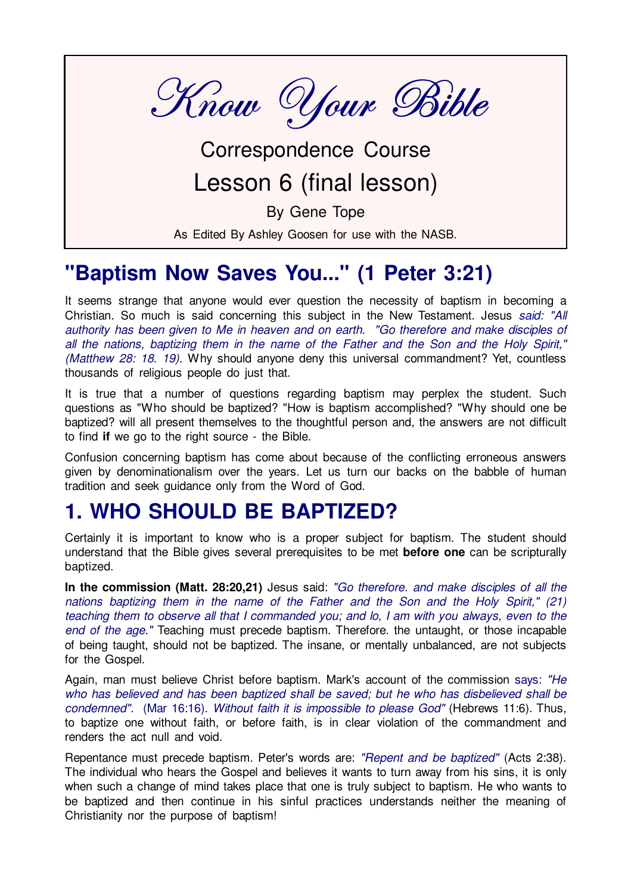

## Correspondence Course Lesson 6 (final lesson)

By Gene Tope

As Edited By Ashley Goosen for use with the NASB.

### "Baptism Now Saves You..." (1 Peter 3:21)

It seems strange that anyone would ever question the necessity of baptism in becoming a Christian. So much is said concerning this subject in the New Testament. Jesus said: "All authority has been given to Me in heaven and on earth. "Go therefore and make disciples of all the nations, baptizing them in the name of the Father and the Son and the Holy Spirit." (Matthew 28: 18. 19). Why should anyone deny this universal commandment? Yet, countless thousands of religious people do just that.

It is true that a number of questions regarding baptism may perplex the student. Such questions as "Who should be baptized? "How is baptism accomplished? "Why should one be baptized? will all present themselves to the thoughtful person and, the answers are not difficult to find if we go to the right source - the Bible.

Confusion concerning baptism has come about because of the conflicting erroneous answers given by denominationalism over the years. Let us turn our backs on the babble of human tradition and seek guidance only from the Word of God.

#### **1. WHO SHOULD BE BAPTIZED?**

Certainly it is important to know who is a proper subject for baptism. The student should understand that the Bible gives several prerequisites to be met before one can be scripturally baptized.

In the commission (Matt. 28:20,21) Jesus said: "Go therefore, and make disciples of all the nations baptizing them in the name of the Father and the Son and the Holy Spirit," (21) teaching them to observe all that I commanded you; and lo, I am with you always, even to the end of the age." Teaching must precede baptism. Therefore, the untaught, or those incapable of being taught, should not be baptized. The insane, or mentally unbalanced, are not subjects for the Gospel.

Again, man must believe Christ before baptism. Mark's account of the commission says: "He who has believed and has been baptized shall be saved; but he who has disbelieved shall be condemned". (Mar 16:16). Without faith it is impossible to please God" (Hebrews 11:6). Thus, to baptize one without faith, or before faith, is in clear violation of the commandment and renders the act null and void

Repentance must precede baptism. Peter's words are: "Repent and be baptized" (Acts 2:38). The individual who hears the Gospel and believes it wants to turn away from his sins, it is only when such a change of mind takes place that one is truly subject to baptism. He who wants to be baptized and then continue in his sinful practices understands neither the meaning of Christianity nor the purpose of baptism!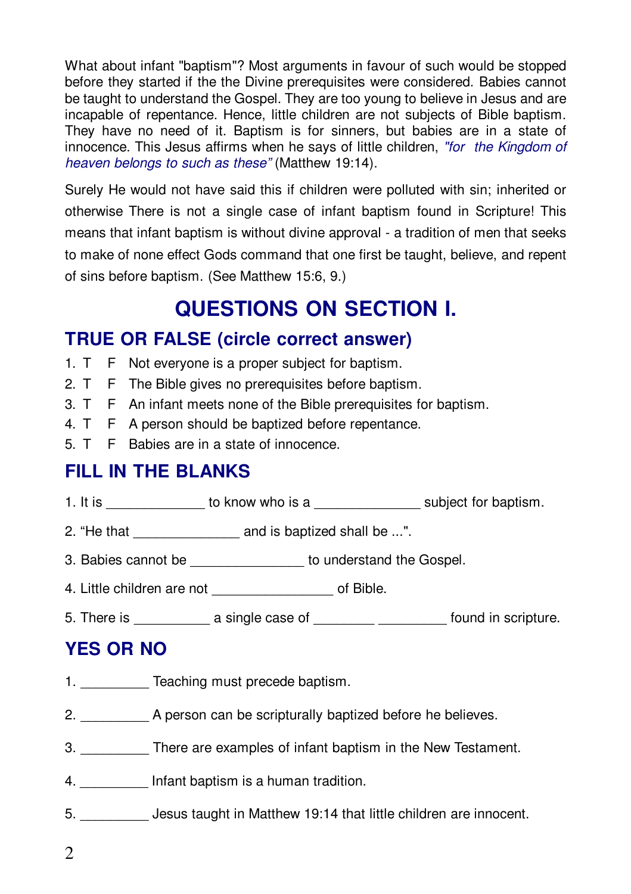What about infant "baptism"? Most arguments in favour of such would be stopped before they started if the the Divine prerequisites were considered. Babies cannot be taught to understand the Gospel. They are too young to believe in Jesus and are incapable of repentance. Hence, little children are not subjects of Bible baptism. They have no need of it. Baptism is for sinners, but babies are in a state of innocence. This Jesus affirms when he says of little children, "for the Kingdom of heaven belongs to such as these" (Matthew 19:14).

Surely He would not have said this if children were polluted with sin; inherited or otherwise There is not a single case of infant baptism found in Scripture! This means that infant baptism is without divine approval - a tradition of men that seeks to make of none effect Gods command that one first be taught, believe, and repent of sins before baptism. (See Matthew 15:6, 9.)

## **QUESTIONS ON SECTION I.**

#### **TRUE OR FALSE (circle correct answer)**

- 1. T F Not everyone is a proper subject for baptism.
- $2T$ F The Bible gives no prerequisites before baptism.
- $3. T$ F An infant meets none of the Bible prerequisites for baptism.
- 4. T F A person should be baptized before repentance.
- 5. T F Babies are in a state of innocence.

#### **FILL IN THE BLANKS**

- 1. It is to know who is a subject for baptism.
- 2. "He that and is baptized shall be ...".
- 3. Babies cannot be \_\_\_\_\_\_\_\_\_\_\_\_\_\_\_\_\_ to understand the Gospel.
- 4. Little children are not by the control of Bible.
- 5. There is \_\_\_\_\_\_\_\_\_\_\_\_\_\_ a single case of \_\_\_\_\_\_\_\_\_\_ \_\_\_\_\_\_\_\_\_\_\_\_ found in scripture.

#### **YES OR NO**

- 1. Teaching must precede baptism.
- 2. A person can be scripturally baptized before he believes.
- 3. There are examples of infant baptism in the New Testament.
- 4. Infant baptism is a human tradition.
- 5. Jesus taught in Matthew 19:14 that little children are innocent.
- $\overline{2}$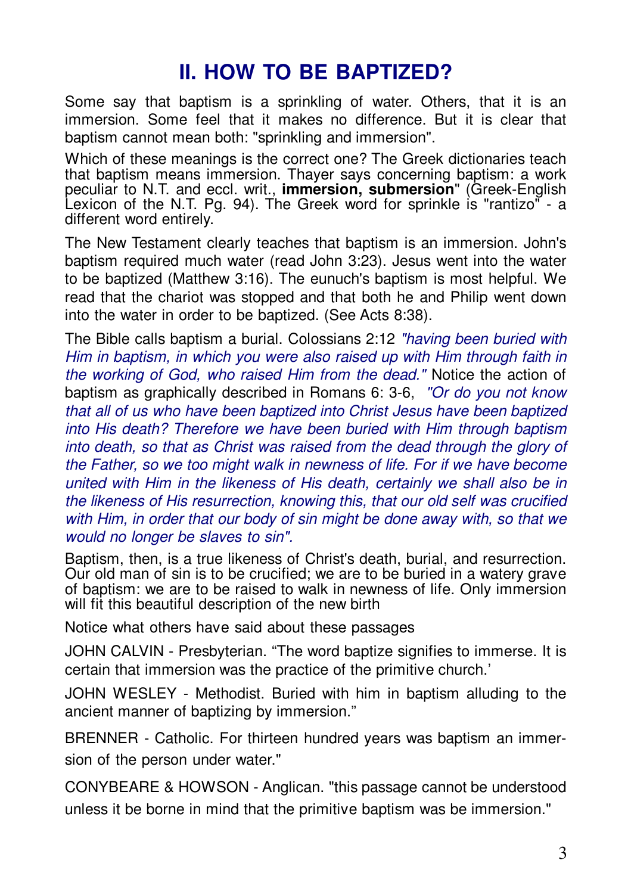## **II HOW TO RE RAPTIZED?**

Some say that baptism is a sprinkling of water. Others, that it is an immersion. Some feel that it makes no difference. But it is clear that baptism cannot mean both: "sprinkling and immersion".

Which of these meanings is the correct one? The Greek dictionaries teach that baptism means immersion. Thaver says concerning baptism: a work peculiar to N.T. and eccl. writ., **immersion, submersion**" (Greek-English Lexicon of the N.T. Pg. 94). The Greek word for sprinkle is "rantizo" - a different word entirely.

The New Testament clearly teaches that baptism is an immersion. John's baptism required much water (read John 3:23). Jesus went into the water to be baptized (Matthew 3:16). The eunuch's baptism is most helpful. We read that the chariot was stopped and that both he and Philip went down into the water in order to be baptized. (See Acts 8:38).

The Bible calls baptism a burial. Colossians 2:12 "having been buried with Him in baptism, in which you were also raised up with Him through faith in the working of God, who raised Him from the dead." Notice the action of baptism as graphically described in Romans 6: 3-6, "Or do you not know that all of us who have been baptized into Christ Jesus have been baptized into His death? Therefore we have been buried with Him through baptism into death, so that as Christ was raised from the dead through the glory of the Father, so we too might walk in newness of life. For if we have become united with Him in the likeness of His death, certainly we shall also be in the likeness of His resurrection, knowing this, that our old self was crucified with Him, in order that our body of sin might be done away with, so that we would no longer be slaves to sin".

Baptism, then, is a true likeness of Christ's death, burial, and resurrection. Our old man of sin is to be crucified; we are to be buried in a watery grave of baptism: we are to be raised to walk in newness of life. Only immersion will fit this beautiful description of the new birth

Notice what others have said about these passages

JOHN CALVIN - Presbyterian. "The word baptize signifies to immerse. It is certain that immersion was the practice of the primitive church.'

JOHN WESLEY - Methodist. Buried with him in baptism alluding to the ancient manner of baptizing by immersion."

BRENNER - Catholic. For thirteen hundred years was baptism an immersion of the person under water."

CONYBEARE & HOWSON - Anglican. "this passage cannot be understood unless it be borne in mind that the primitive baptism was be immersion."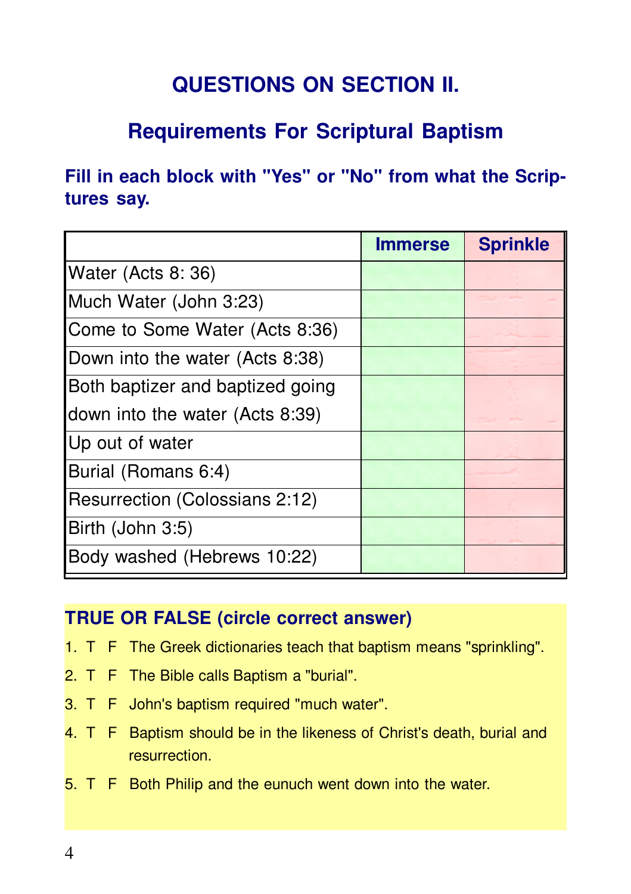## **QUESTIONS ON SECTION II.**

## **Requirements For Scriptural Baptism**

Fill in each block with "Yes" or "No" from what the Scriptures say.

|                                  | <b>Immerse</b> | <b>Sprinkle</b> |
|----------------------------------|----------------|-----------------|
| Water (Acts 8: 36)               |                |                 |
| Much Water (John 3:23)           |                |                 |
| Come to Some Water (Acts 8:36)   |                |                 |
| Down into the water (Acts 8:38)  |                |                 |
| Both baptizer and baptized going |                |                 |
| down into the water (Acts 8:39)  |                |                 |
| Up out of water                  |                |                 |
| Burial (Romans 6:4)              |                |                 |
| Resurrection (Colossians 2:12)   |                |                 |
| Birth (John 3:5)                 |                |                 |
| Body washed (Hebrews 10:22)      |                |                 |

#### **TRUE OR FALSE (circle correct answer)**

- 1. T F The Greek dictionaries teach that baptism means "sprinkling".
- 2. T F The Bible calls Baptism a "burial".
- 3. T F John's baptism required "much water".
- 4. T F Baptism should be in the likeness of Christ's death, burial and resurrection
- 5. T F Both Philip and the eunuch went down into the water.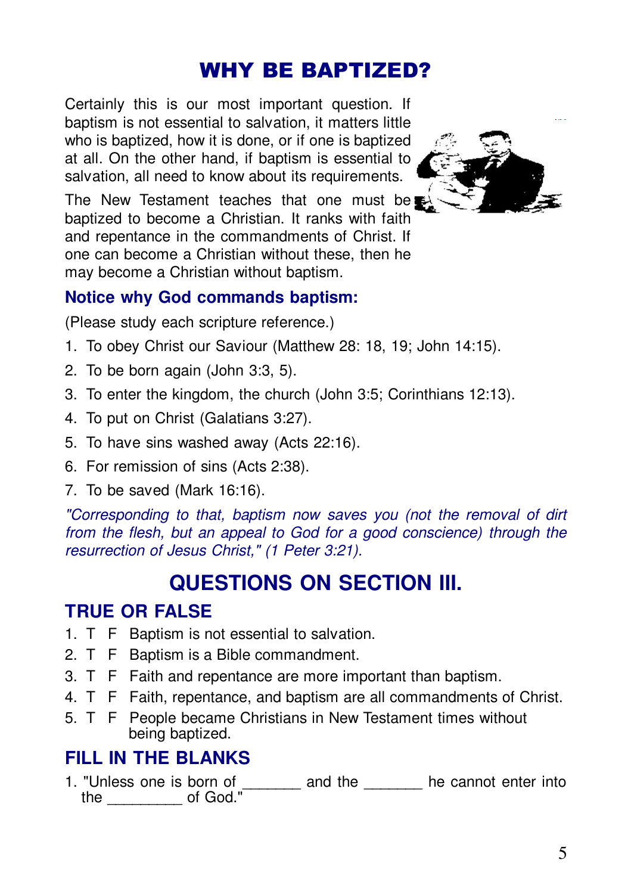### WHY BE BAPTIZED?

Certainly this is our most important question. If baptism is not essential to salvation, it matters little who is baptized, how it is done, or if one is baptized at all. On the other hand, if baptism is essential to salvation, all need to know about its requirements.



The New Testament teaches that one must be baptized to become a Christian. It ranks with faith and repentance in the commandments of Christ. If one can become a Christian without these, then he may become a Christian without baptism.

#### **Notice why God commands baptism:**

(Please study each scripture reference.)

- 1. To obey Christ our Saviour (Matthew 28: 18, 19; John 14:15).
- 2. To be born again (John 3:3, 5).
- 3. To enter the kingdom, the church (John 3:5; Corinthians 12:13).
- 4. To put on Christ (Galatians 3:27).
- 5. To have sins washed away (Acts 22:16).
- 6. For remission of sins (Acts 2:38).
- 7. To be saved (Mark 16:16).

*"Corresponding to that, baptism now saves you (not the removal of dirt from the flesh, but an appeal to God for a good conscience) through the resurrection of Jesus Christ," (1 Peter 3:21).*

## **QUESTIONS ON SECTION III.**

#### **TRUE OR FALSE**

- 1. T F Baptism is not essential to salvation.
- 2. T F Baptism is a Bible commandment.
- 3. T F Faith and repentance are more important than baptism.
- 4. T F Faith, repentance, and baptism are all commandments of Christ.
- 5. T F People became Christians in New Testament times without being baptized.

#### **FILL IN THE BLANKS**

1. "Unless one is born of \_\_\_\_\_\_\_ and the he cannot enter into the \_\_\_\_\_\_\_\_\_ of God."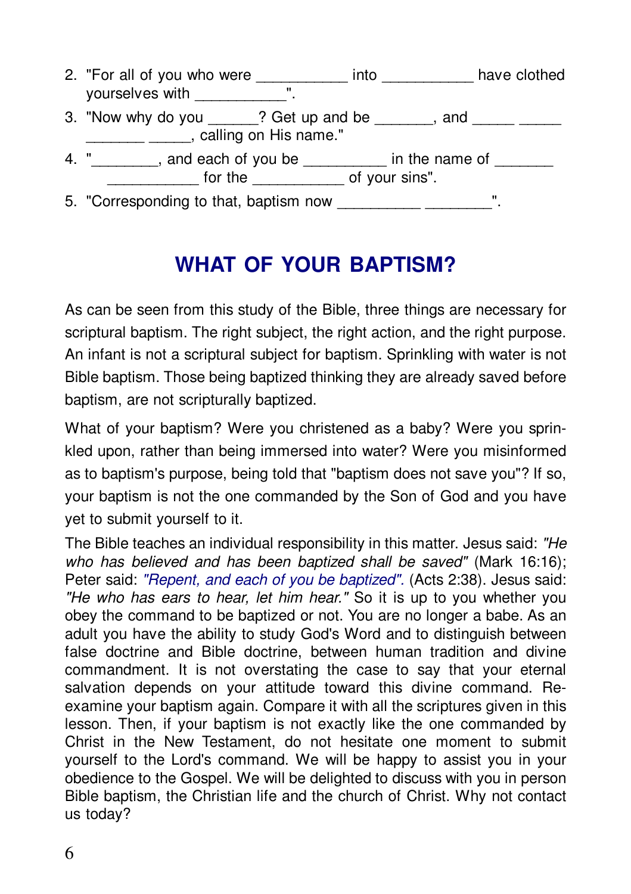2. "For all of you who were \_\_\_\_\_\_\_\_\_\_\_\_ into \_\_\_\_\_\_\_\_\_\_\_ have clothed yourselves with \_\_\_\_\_\_\_\_\_\_\_". 3. "Now why do you <br>
? Get up and be , and Langled Calling on His name." 4. "\_\_\_\_\_\_\_\_, and each of you be \_\_\_\_\_\_\_ in the name of \_\_\_\_\_\_\_\_\_\_<br>for the \_\_\_\_\_\_\_\_\_\_ of your sins". 5. "Corresponding to that, baptism now \_\_\_\_\_\_\_\_\_\_ \_\_\_\_\_\_\_\_\_\_\_\_".

## **WHAT OF YOUR BAPTISM?**

As can be seen from this study of the Bible, three things are necessary for scriptural baptism. The right subject, the right action, and the right purpose. An infant is not a scriptural subject for baptism. Sprinkling with water is not Bible baptism. Those being baptized thinking they are already saved before baptism, are not scripturally baptized.

What of your baptism? Were you christened as a baby? Were you sprinkled upon, rather than being immersed into water? Were you misinformed as to baptism's purpose, being told that "baptism does not save you"? If so, your baptism is not the one commanded by the Son of God and you have vet to submit yourself to it.

The Bible teaches an individual responsibility in this matter. Jesus said: "He who has believed and has been baptized shall be saved" (Mark 16:16); Peter said: "Repent, and each of you be baptized". (Acts 2:38). Jesus said: "He who has ears to hear, let him hear." So it is up to you whether you obey the command to be baptized or not. You are no longer a babe. As an adult you have the ability to study God's Word and to distinguish between false doctrine and Bible doctrine, between human tradition and divine commandment. It is not overstating the case to say that your eternal salvation depends on your attitude toward this divine command. Reexamine your baptism again. Compare it with all the scriptures given in this lesson. Then, if your baptism is not exactly like the one commanded by Christ in the New Testament, do not hesitate one moment to submit yourself to the Lord's command. We will be happy to assist you in your obedience to the Gospel. We will be delighted to discuss with you in person Bible baptism, the Christian life and the church of Christ. Why not contact us today?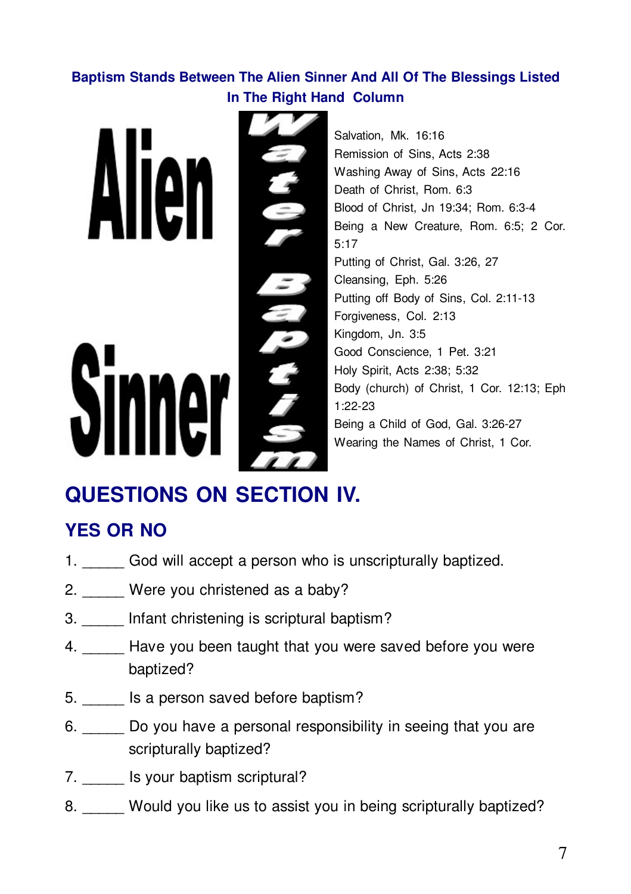#### Baptism Stands Between The Alien Sinner And All Of The Blessings Listed In The Right Hand Column

E

Salvation, Mk. 16:16 Remission of Sins, Acts 2:38 Washing Away of Sins, Acts 22:16 Death of Christ, Rom. 6:3 Blood of Christ, Jn 19:34; Rom. 6:3-4 Being a New Creature, Rom. 6:5; 2 Cor.  $5:17$ Putting of Christ, Gal. 3:26, 27 Cleansing, Eph. 5:26 Putting off Body of Sins, Col. 2:11-13 Forgiveness, Col. 2:13 Kingdom, Jn. 3:5 Good Conscience, 1 Pet. 3:21 Holy Spirit, Acts 2:38; 5:32 Body (church) of Christ, 1 Cor. 12:13; Eph  $1.22 - 23$ Being a Child of God, Gal. 3:26-27 Wearing the Names of Christ, 1 Cor.

## **QUESTIONS ON SECTION IV.**

### **YES OR NO**

- 1. God will accept a person who is unscripturally baptized.
- 2. Were you christened as a baby?
- 3. Infant christening is scriptural baptism?
- 4. \_\_\_\_\_ Have you been taught that you were saved before you were baptized?
- 5. Is a person saved before baptism?
- 6. Do you have a personal responsibility in seeing that you are scripturally baptized?
- 7. \_\_\_\_\_\_ Is your baptism scriptural?
- 8. Would you like us to assist you in being scripturally baptized?